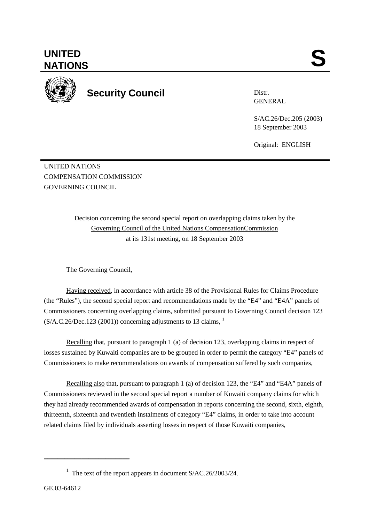**UNITED**  UNITED SANTIONS



**Security Council** 

Distr. GENERAL

S/AC.26/Dec.205 (2003) 18 September 2003

Original: ENGLISH

UNITED NATIONS COMPENSATION COMMISSION GOVERNING COUNCIL.

> Decision concerning the second special report on overlapping claims taken by the Governing Council of the United Nations CompensationCommission at its 131st meeting, on 18 September 2003

The Governing Council,

Having received, in accordance with article 38 of the Provisional Rules for Claims Procedure (the "Rules"), the second special report and recommendations made by the "E4" and "E4A" panels of Commissioners concerning overlapping claims, submitted pursuant to Governing Council decision 123  $(S/A.C.26/Dec.123 (2001))$  concerning adjustments to 13 claims, <sup>1</sup>

Recalling that, pursuant to paragraph 1 (a) of decision 123, overlapping claims in respect of losses sustained by Kuwaiti companies are to be grouped in order to permit the category "E4" panels of Commissioners to make recommendations on awards of compensation suffered by such companies,

Recalling also that, pursuant to paragraph 1 (a) of decision 123, the "E4" and "E4A" panels of Commissioners reviewed in the second special report a number of Kuwaiti company claims for which they had already recommended awards of compensation in reports concerning the second, sixth, eighth, thirteenth, sixteenth and twentieth instalments of category "E4" claims, in order to take into account related claims filed by individuals asserting losses in respect of those Kuwaiti companies,

\_\_\_\_\_\_\_\_\_\_\_\_\_\_\_\_\_\_\_\_\_\_\_\_\_

<sup>&</sup>lt;sup>1</sup> The text of the report appears in document  $S/AC.26/2003/24$ .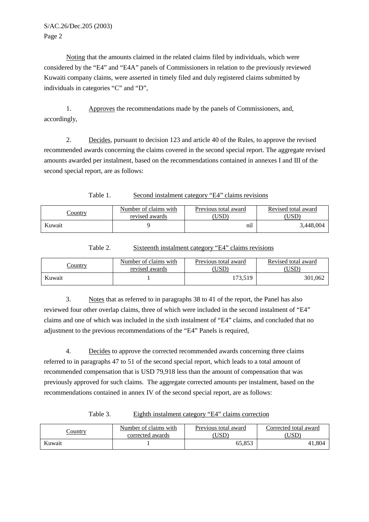## S/AC.26/Dec.205 (2003) Page 2

Noting that the amounts claimed in the related claims filed by individuals, which were considered by the "E4" and "E4A" panels of Commissioners in relation to the previously reviewed Kuwaiti company claims, were asserted in timely filed and duly registered claims submitted by individuals in categories "C" and "D",

1. Approves the recommendations made by the panels of Commissioners, and, accordingly,

2. Decides, pursuant to decision 123 and article 40 of the Rules, to approve the revised recommended awards concerning the claims covered in the second special report. The aggregate revised amounts awarded per instalment, based on the recommendations contained in annexes I and III of the second special report, are as follows:

Table 1. Second instalment category "E4" claims revisions

| Country | Number of claims with<br>revised awards | Previous total award<br>USD | Revised total award |
|---------|-----------------------------------------|-----------------------------|---------------------|
| Kuwait  |                                         | nıl                         | 3,448,004           |

| Country | Number of claims with | Previous total award | Revised total award |  |
|---------|-----------------------|----------------------|---------------------|--|
|         | revised awards        |                      |                     |  |
| Kuwait  |                       | 73.519               | 301,062             |  |

Table 2. Sixteenth instalment category "E4" claims revisions

3. Notes that as referred to in paragraphs 38 to 41 of the report, the Panel has also reviewed four other overlap claims, three of which were included in the second instalment of "E4" claims and one of which was included in the sixth instalment of "E4" claims, and concluded that no adjustment to the previous recommendations of the "E4" Panels is required,

4. Decides to approve the corrected recommended awards concerning three claims referred to in paragraphs 47 to 51 of the second special report, which leads to a total amount of recommended compensation that is USD 79,918 less than the amount of compensation that was previously approved for such claims. The aggregate corrected amounts per instalment, based on the recommendations contained in annex IV of the second special report, are as follows:

Table 3. Eighth instalment category "E4" claims correction

| <u>Country</u> | Number of claims with | Previous total award | Corrected total award |
|----------------|-----------------------|----------------------|-----------------------|
|                | corrected awards      | USD                  | UƏL                   |
| Kuwait         |                       | 55.853               | $+1,804$              |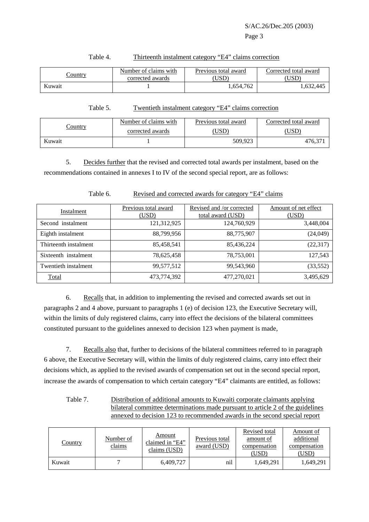| Number of claims with<br><u>Country</u><br>corrected awards |  | Previous total award<br>USD | Corrected total award<br>USD <sup>-</sup> |
|-------------------------------------------------------------|--|-----------------------------|-------------------------------------------|
| Kuwait                                                      |  | 1,654,762                   | 1.632.445                                 |

## Table 4. Thirteenth instalment category "E4" claims correction

Table 5. Twentieth instalment category "E4" claims correction

|                | Number of claims with | Previous total award | Corrected total award |  |
|----------------|-----------------------|----------------------|-----------------------|--|
| <u>Country</u> | corrected awards      | USD <sup>®</sup>     | 'USD                  |  |
| Kuwait         |                       | 509,923              | 476,37                |  |

5. Decides further that the revised and corrected total awards per instalment, based on the recommendations contained in annexes I to IV of the second special report, are as follows:

Table 6. Revised and corrected awards for category "E4" claims

| Instalment            | Previous total award<br>(USD) | Revised and /or corrected<br>total award (USD) | Amount of net effect<br>(USD) |
|-----------------------|-------------------------------|------------------------------------------------|-------------------------------|
| Second instalment     | 121,312,925                   | 124,760,929                                    | 3,448,004                     |
| Eighth instalment     | 88,799,956                    | 88,775,907                                     | (24, 049)                     |
| Thirteenth instalment | 85,458,541                    | 85,436,224                                     | (22,317)                      |
| Sixteenth instalment  | 78,625,458                    | 78,753,001                                     | 127,543                       |
| Twentieth instalment  | 99,577,512                    | 99,543,960                                     | (33, 552)                     |
| Total                 | 473,774,392                   | 477,270,021                                    | 3,495,629                     |

6. Recalls that, in addition to implementing the revised and corrected awards set out in paragraphs 2 and 4 above, pursuant to paragraphs 1 (e) of decision 123, the Executive Secretary will, within the limits of duly registered claims, carry into effect the decisions of the bilateral committees constituted pursuant to the guidelines annexed to decision 123 when payment is made,

7. Recalls also that, further to decisions of the bilateral committees referred to in paragraph 6 above, the Executive Secretary will, within the limits of duly registered claims, carry into effect their decisions which, as applied to the revised awards of compensation set out in the second special report, increase the awards of compensation to which certain category "E4" claimants are entitled, as follows:

| Table 7. | Distribution of additional amounts to Kuwaiti corporate claimants applying      |
|----------|---------------------------------------------------------------------------------|
|          | bilateral committee determinations made pursuant to article 2 of the guidelines |
|          | annexed to decision 123 to recommended awards in the second special report      |

| <u>Country</u> | Number of<br>claims | Amount<br>claimed in "E4"<br>claims (USD) | Previous total<br>award (USD) | Revised total<br>amount of<br>compensation<br>(USD) | Amount of<br>additional<br>compensation<br>(USD) |
|----------------|---------------------|-------------------------------------------|-------------------------------|-----------------------------------------------------|--------------------------------------------------|
| Kuwait         |                     | 6,409,727                                 | nil                           | 1,649,291                                           | 1,649,291                                        |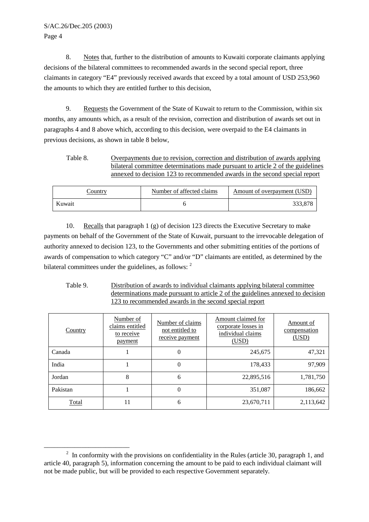## S/AC.26/Dec.205 (2003) Page 4

\_\_\_\_\_\_\_\_\_\_\_\_\_\_\_\_\_\_\_\_\_\_\_\_\_

8. Notes that, further to the distribution of amounts to Kuwaiti corporate claimants applying decisions of the bilateral committees to recommended awards in the second special report, three claimants in category "E4" previously received awards that exceed by a total amount of USD 253,960 the amounts to which they are entitled further to this decision,

9. Requests the Government of the State of Kuwait to return to the Commission, within six months, any amounts which, as a result of the revision, correction and distribution of awards set out in paragraphs 4 and 8 above which, according to this decision, were overpaid to the E4 claimants in previous decisions, as shown in table 8 below,

Table 8. Overpayments due to revision, correction and distribution of awards applying bilateral committee determinations made pursuant to article 2 of the guidelines annexed to decision 123 to recommended awards in the second special report

| <u>Country</u> | Number of affected claims | Amount of overpayment (USD) |  |
|----------------|---------------------------|-----------------------------|--|
| Kuwait         |                           | 222 Q79                     |  |

10. Recalls that paragraph 1 (g) of decision 123 directs the Executive Secretary to make payments on behalf of the Government of the State of Kuwait, pursuant to the irrevocable delegation of authority annexed to decision 123, to the Governments and other submitting entities of the portions of awards of compensation to which category "C" and/or "D" claimants are entitled, as determined by the bilateral committees under the guidelines, as follows: <sup>2</sup>

Table 9. Distribution of awards to individual claimants applying bilateral committee determinations made pursuant to article 2 of the guidelines annexed to decision 123 to recommended awards in the second special report

| <b>Country</b> | Number of<br>claims entitled<br>to receive<br>payment | Number of claims<br>not entitled to<br>receive payment | Amount claimed for<br>corporate losses in<br>individual claims<br>(USD) | Amount of<br>compensation<br>(USD) |
|----------------|-------------------------------------------------------|--------------------------------------------------------|-------------------------------------------------------------------------|------------------------------------|
| Canada         |                                                       | $\theta$                                               | 245,675                                                                 | 47,321                             |
| India          |                                                       | 0                                                      | 178,433                                                                 | 97,909                             |
| Jordan         | 8                                                     | 6                                                      | 22,895,516                                                              | 1,781,750                          |
| Pakistan       |                                                       | $\Omega$                                               | 351,087                                                                 | 186,662                            |
| <b>Total</b>   | 11                                                    | 6                                                      | 23,670,711                                                              | 2,113,642                          |

<sup>&</sup>lt;sup>2</sup> In conformity with the provisions on confidentiality in the Rules (article 30, paragraph 1, and article 40, paragraph 5), information concerning the amount to be paid to each individual claimant will not be made public, but will be provided to each respective Government separately.